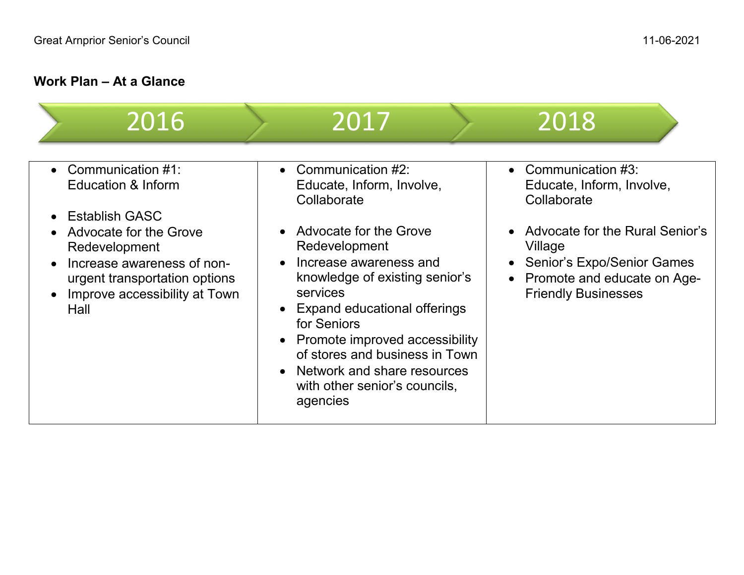## **Work Plan – At a Glance**

| 2016                                                                                                                                                                                                                                               | 2017                                                                                                                                                                                                                                                                                                                                                                                                                 | 2018                                                                                                                                                                                                                            |
|----------------------------------------------------------------------------------------------------------------------------------------------------------------------------------------------------------------------------------------------------|----------------------------------------------------------------------------------------------------------------------------------------------------------------------------------------------------------------------------------------------------------------------------------------------------------------------------------------------------------------------------------------------------------------------|---------------------------------------------------------------------------------------------------------------------------------------------------------------------------------------------------------------------------------|
| Communication #1:<br>$\bullet$<br><b>Education &amp; Inform</b><br><b>Establish GASC</b><br><b>Advocate for the Grove</b><br>Redevelopment<br>Increase awareness of non-<br>urgent transportation options<br>Improve accessibility at Town<br>Hall | • Communication $#2$ :<br>Educate, Inform, Involve,<br>Collaborate<br>• Advocate for the Grove<br>Redevelopment<br>Increase awareness and<br>$\bullet$<br>knowledge of existing senior's<br>services<br>• Expand educational offerings<br>for Seniors<br>• Promote improved accessibility<br>of stores and business in Town<br>Network and share resources<br>$\bullet$<br>with other senior's councils,<br>agencies | • Communication $#3$ :<br>Educate, Inform, Involve,<br>Collaborate<br>Advocate for the Rural Senior's<br>Village<br><b>Senior's Expo/Senior Games</b><br>Promote and educate on Age-<br>$\bullet$<br><b>Friendly Businesses</b> |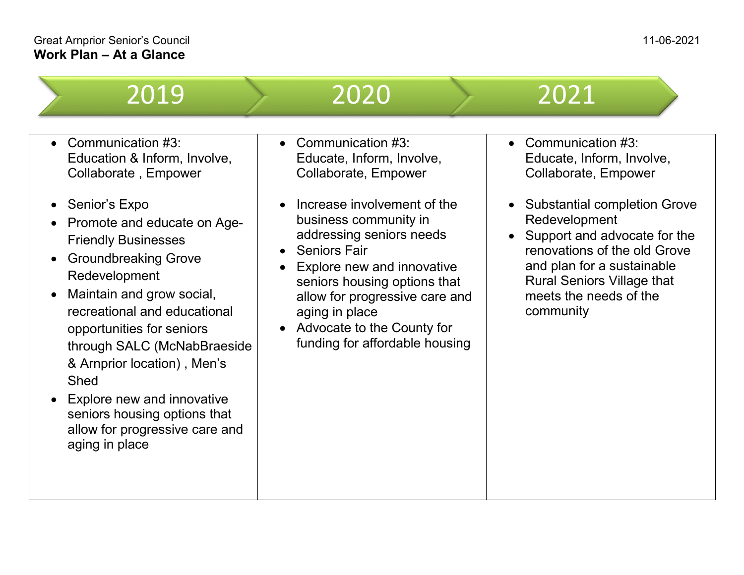| 2019                                                                                                                                                                                                                                                                                                                                                                                                                                                                                      | 2020                                                                                                                                                                                                                                                                                                                                                                                                                                 | 2021                                                                                                                                                                                                                                                                                                                                            |
|-------------------------------------------------------------------------------------------------------------------------------------------------------------------------------------------------------------------------------------------------------------------------------------------------------------------------------------------------------------------------------------------------------------------------------------------------------------------------------------------|--------------------------------------------------------------------------------------------------------------------------------------------------------------------------------------------------------------------------------------------------------------------------------------------------------------------------------------------------------------------------------------------------------------------------------------|-------------------------------------------------------------------------------------------------------------------------------------------------------------------------------------------------------------------------------------------------------------------------------------------------------------------------------------------------|
| Communication #3:<br>Education & Inform, Involve,<br>Collaborate, Empower<br>Senior's Expo<br>Promote and educate on Age-<br><b>Friendly Businesses</b><br><b>Groundbreaking Grove</b><br>Redevelopment<br>Maintain and grow social,<br>recreational and educational<br>opportunities for seniors<br>through SALC (McNabBraeside<br>& Arnprior location), Men's<br>Shed<br>Explore new and innovative<br>seniors housing options that<br>allow for progressive care and<br>aging in place | Communication #3:<br>$\bullet$<br>Educate, Inform, Involve,<br>Collaborate, Empower<br>Increase involvement of the<br>$\bullet$<br>business community in<br>addressing seniors needs<br><b>Seniors Fair</b><br>$\bullet$<br>Explore new and innovative<br>$\bullet$<br>seniors housing options that<br>allow for progressive care and<br>aging in place<br>Advocate to the County for<br>$\bullet$<br>funding for affordable housing | Communication #3:<br>$\bullet$<br>Educate, Inform, Involve,<br>Collaborate, Empower<br><b>Substantial completion Grove</b><br>$\bullet$<br>Redevelopment<br>Support and advocate for the<br>$\bullet$<br>renovations of the old Grove<br>and plan for a sustainable<br><b>Rural Seniors Village that</b><br>meets the needs of the<br>community |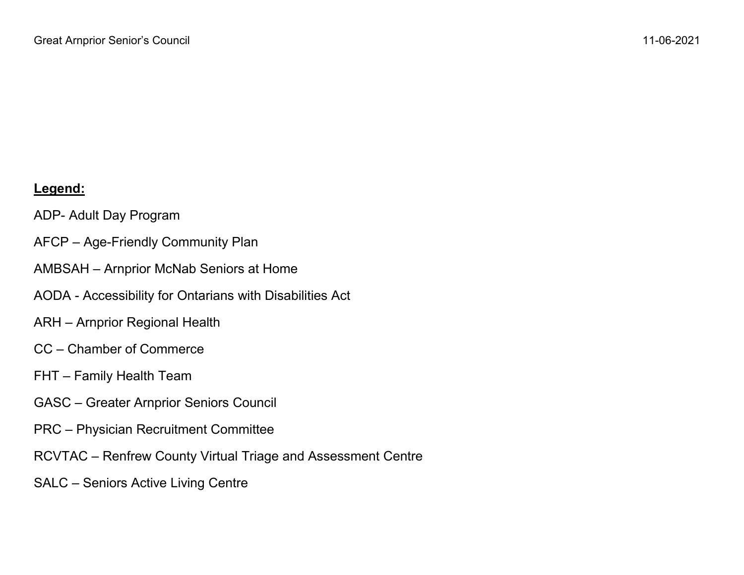## **Legend:**

ADP- Adult Day Program

- AFCP Age-Friendly Community Plan
- AMBSAH Arnprior McNab Seniors at Home
- AODA Accessibility for Ontarians with Disabilities Act
- ARH Arnprior Regional Health
- CC Chamber of Commerce
- FHT Family Health Team
- GASC Greater Arnprior Seniors Council
- PRC Physician Recruitment Committee
- RCVTAC Renfrew County Virtual Triage and Assessment Centre
- SALC Seniors Active Living Centre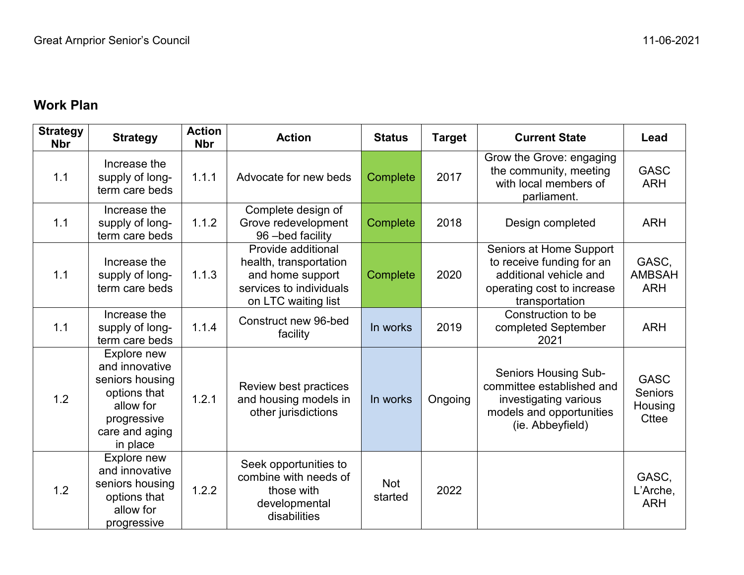## **Work Plan**

| <b>Strategy</b><br><b>Nbr</b> | <b>Strategy</b>                                                                                                            | <b>Action</b><br><b>Nbr</b> | <b>Action</b>                                                                                                      | <b>Status</b>         | <b>Target</b> | <b>Current State</b>                                                                                                              | Lead                                                     |
|-------------------------------|----------------------------------------------------------------------------------------------------------------------------|-----------------------------|--------------------------------------------------------------------------------------------------------------------|-----------------------|---------------|-----------------------------------------------------------------------------------------------------------------------------------|----------------------------------------------------------|
| 1.1                           | Increase the<br>supply of long-<br>term care beds                                                                          | 1.1.1                       | Advocate for new beds                                                                                              | Complete              | 2017          | Grow the Grove: engaging<br>the community, meeting<br>with local members of<br>parliament.                                        | <b>GASC</b><br><b>ARH</b>                                |
| 1.1                           | Increase the<br>supply of long-<br>term care beds                                                                          | 1.1.2                       | Complete design of<br>Grove redevelopment<br>96-bed facility                                                       | Complete              | 2018          | Design completed                                                                                                                  | <b>ARH</b>                                               |
| 1.1                           | Increase the<br>supply of long-<br>term care beds                                                                          | 1.1.3                       | Provide additional<br>health, transportation<br>and home support<br>services to individuals<br>on LTC waiting list | Complete              | 2020          | Seniors at Home Support<br>to receive funding for an<br>additional vehicle and<br>operating cost to increase<br>transportation    | GASC,<br><b>AMBSAH</b><br><b>ARH</b>                     |
| 1.1                           | Increase the<br>supply of long-<br>term care beds                                                                          | 1.1.4                       | Construct new 96-bed<br>facility                                                                                   | In works              | 2019          | Construction to be<br>completed September<br>2021                                                                                 | <b>ARH</b>                                               |
| 1.2                           | Explore new<br>and innovative<br>seniors housing<br>options that<br>allow for<br>progressive<br>care and aging<br>in place | 1.2.1                       | Review best practices<br>and housing models in<br>other jurisdictions                                              | In works              | Ongoing       | <b>Seniors Housing Sub-</b><br>committee established and<br>investigating various<br>models and opportunities<br>(ie. Abbeyfield) | <b>GASC</b><br><b>Seniors</b><br>Housing<br><b>Cttee</b> |
| 1.2                           | Explore new<br>and innovative<br>seniors housing<br>options that<br>allow for<br>progressive                               | 1.2.2                       | Seek opportunities to<br>combine with needs of<br>those with<br>developmental<br>disabilities                      | <b>Not</b><br>started | 2022          |                                                                                                                                   | GASC,<br>L'Arche,<br><b>ARH</b>                          |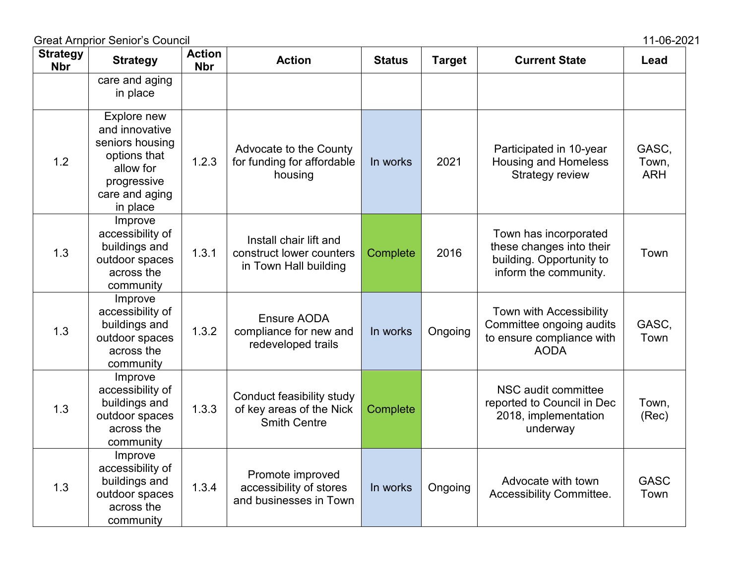| <b>Strategy</b><br><b>Nbr</b> | <b>Strategy</b>                                                                                                            | <b>Action</b><br><b>Nbr</b> | <b>Action</b>                                                                | <b>Status</b> | <b>Target</b> | <b>Current State</b>                                                                                   | Lead                         |
|-------------------------------|----------------------------------------------------------------------------------------------------------------------------|-----------------------------|------------------------------------------------------------------------------|---------------|---------------|--------------------------------------------------------------------------------------------------------|------------------------------|
|                               | care and aging<br>in place                                                                                                 |                             |                                                                              |               |               |                                                                                                        |                              |
| 1.2                           | Explore new<br>and innovative<br>seniors housing<br>options that<br>allow for<br>progressive<br>care and aging<br>in place | 1.2.3                       | Advocate to the County<br>for funding for affordable<br>housing              | In works      | 2021          | Participated in 10-year<br><b>Housing and Homeless</b><br><b>Strategy review</b>                       | GASC,<br>Town,<br><b>ARH</b> |
| 1.3                           | Improve<br>accessibility of<br>buildings and<br>outdoor spaces<br>across the<br>community                                  | 1.3.1                       | Install chair lift and<br>construct lower counters<br>in Town Hall building  | Complete      | 2016          | Town has incorporated<br>these changes into their<br>building. Opportunity to<br>inform the community. | Town                         |
| 1.3                           | Improve<br>accessibility of<br>buildings and<br>outdoor spaces<br>across the<br>community                                  | 1.3.2                       | Ensure AODA<br>compliance for new and<br>redeveloped trails                  | In works      | Ongoing       | Town with Accessibility<br>Committee ongoing audits<br>to ensure compliance with<br><b>AODA</b>        | GASC,<br>Town                |
| 1.3                           | Improve<br>accessibility of<br>buildings and<br>outdoor spaces<br>across the<br>community                                  | 1.3.3                       | Conduct feasibility study<br>of key areas of the Nick<br><b>Smith Centre</b> | Complete      |               | NSC audit committee<br>reported to Council in Dec<br>2018, implementation<br>underway                  | Town,<br>(Rec)               |
| 1.3                           | Improve<br>accessibility of<br>buildings and<br>outdoor spaces<br>across the<br>community                                  | 1.3.4                       | Promote improved<br>accessibility of stores<br>and businesses in Town        | In works      | Ongoing       | Advocate with town<br>Accessibility Committee.                                                         | <b>GASC</b><br>Town          |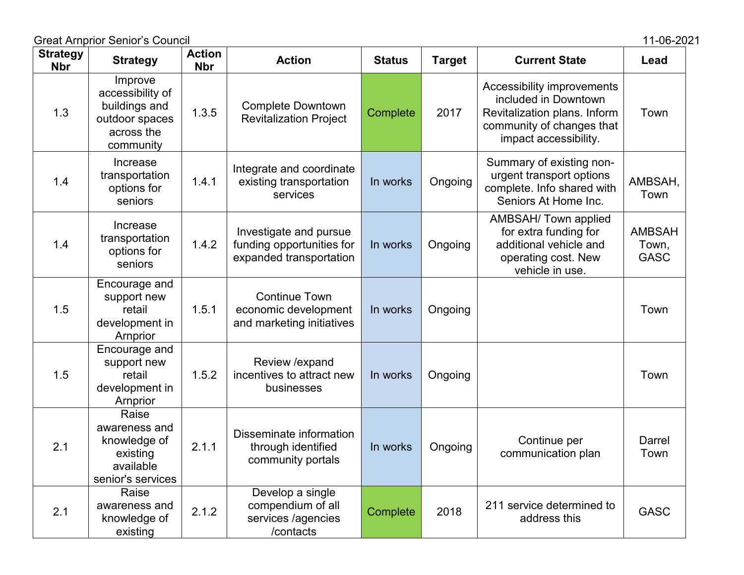Great Arnprior Senior's Council 2021

| <b>Strategy</b><br><b>Nbr</b> | <b>Strategy</b>                                                                           | <b>Action</b><br><b>Nbr</b> | <b>Action</b>                                                                  | <b>Status</b> | <b>Target</b> | <b>Current State</b>                                                                                                                     | Lead                                  |
|-------------------------------|-------------------------------------------------------------------------------------------|-----------------------------|--------------------------------------------------------------------------------|---------------|---------------|------------------------------------------------------------------------------------------------------------------------------------------|---------------------------------------|
| 1.3                           | Improve<br>accessibility of<br>buildings and<br>outdoor spaces<br>across the<br>community | 1.3.5                       | <b>Complete Downtown</b><br><b>Revitalization Project</b>                      | Complete      | 2017          | Accessibility improvements<br>included in Downtown<br>Revitalization plans. Inform<br>community of changes that<br>impact accessibility. | Town                                  |
| 1.4                           | Increase<br>transportation<br>options for<br>seniors                                      | 1.4.1                       | Integrate and coordinate<br>existing transportation<br>services                | In works      | Ongoing       | Summary of existing non-<br>urgent transport options<br>complete. Info shared with<br>Seniors At Home Inc.                               | AMBSAH,<br>Town                       |
| 1.4                           | Increase<br>transportation<br>options for<br>seniors                                      | 1.4.2                       | Investigate and pursue<br>funding opportunities for<br>expanded transportation | In works      | Ongoing       | AMBSAH/ Town applied<br>for extra funding for<br>additional vehicle and<br>operating cost. New<br>vehicle in use.                        | <b>AMBSAH</b><br>Town,<br><b>GASC</b> |
| 1.5                           | Encourage and<br>support new<br>retail<br>development in<br>Arnprior                      | 1.5.1                       | <b>Continue Town</b><br>economic development<br>and marketing initiatives      | In works      | Ongoing       |                                                                                                                                          | Town                                  |
| 1.5                           | Encourage and<br>support new<br>retail<br>development in<br>Arnprior                      | 1.5.2                       | Review / expand<br>incentives to attract new<br>businesses                     | In works      | Ongoing       |                                                                                                                                          | Town                                  |
| 2.1                           | Raise<br>awareness and<br>knowledge of<br>existing<br>available<br>senior's services      | 2.1.1                       | Disseminate information<br>through identified<br>community portals             | In works      | Ongoing       | Continue per<br>communication plan                                                                                                       | Darrel<br>Town                        |
| 2.1                           | Raise<br>awareness and<br>knowledge of<br>existing                                        | 2.1.2                       | Develop a single<br>compendium of all<br>services /agencies<br>/contacts       | Complete      | 2018          | 211 service determined to<br>address this                                                                                                | <b>GASC</b>                           |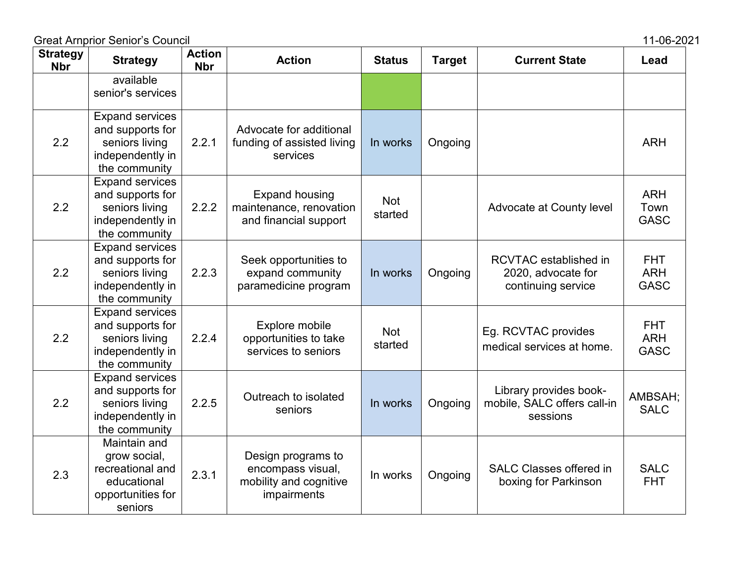| <b>Strategy</b><br><b>Nbr</b> | <b>Strategy</b>                                                                                   | <b>Action</b><br><b>Nbr</b> | <b>Action</b>                                                                    | <b>Status</b>         | <b>Target</b> | <b>Current State</b>                                                     | Lead                                    |
|-------------------------------|---------------------------------------------------------------------------------------------------|-----------------------------|----------------------------------------------------------------------------------|-----------------------|---------------|--------------------------------------------------------------------------|-----------------------------------------|
|                               | available<br>senior's services                                                                    |                             |                                                                                  |                       |               |                                                                          |                                         |
| 2.2                           | <b>Expand services</b><br>and supports for<br>seniors living<br>independently in<br>the community | 2.2.1                       | Advocate for additional<br>funding of assisted living<br>services                | In works              | Ongoing       |                                                                          | <b>ARH</b>                              |
| 2.2                           | <b>Expand services</b><br>and supports for<br>seniors living<br>independently in<br>the community | 2.2.2                       | <b>Expand housing</b><br>maintenance, renovation<br>and financial support        | <b>Not</b><br>started |               | Advocate at County level                                                 | <b>ARH</b><br>Town<br><b>GASC</b>       |
| 2.2                           | <b>Expand services</b><br>and supports for<br>seniors living<br>independently in<br>the community | 2.2.3                       | Seek opportunities to<br>expand community<br>paramedicine program                | In works              | Ongoing       | <b>RCVTAC</b> established in<br>2020, advocate for<br>continuing service | <b>FHT</b><br><b>ARH</b><br><b>GASC</b> |
| 2.2                           | <b>Expand services</b><br>and supports for<br>seniors living<br>independently in<br>the community | 2.2.4                       | Explore mobile<br>opportunities to take<br>services to seniors                   | <b>Not</b><br>started |               | Eg. RCVTAC provides<br>medical services at home.                         | <b>FHT</b><br><b>ARH</b><br><b>GASC</b> |
| 2.2                           | <b>Expand services</b><br>and supports for<br>seniors living<br>independently in<br>the community | 2.2.5                       | Outreach to isolated<br>seniors                                                  | In works              | Ongoing       | Library provides book-<br>mobile, SALC offers call-in<br>sessions        | AMBSAH;<br><b>SALC</b>                  |
| 2.3                           | Maintain and<br>grow social,<br>recreational and<br>educational<br>opportunities for<br>seniors   | 2.3.1                       | Design programs to<br>encompass visual,<br>mobility and cognitive<br>impairments | In works              | Ongoing       | <b>SALC Classes offered in</b><br>boxing for Parkinson                   | <b>SALC</b><br><b>FHT</b>               |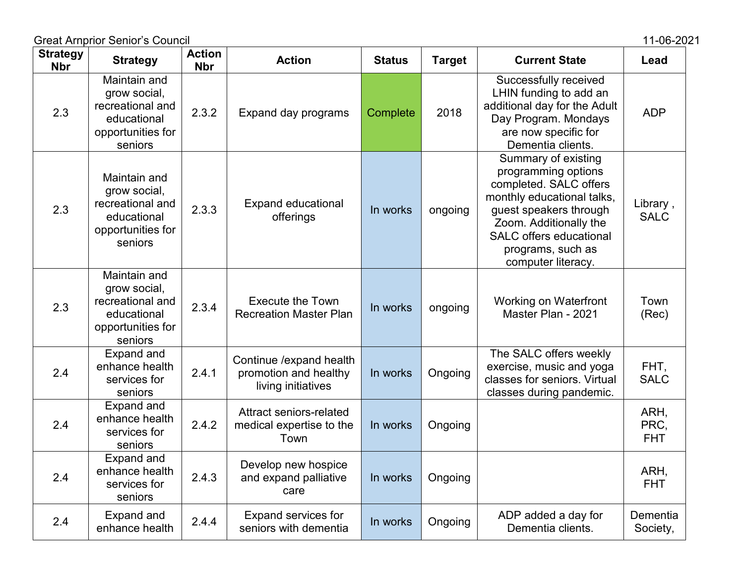Great Arnprior Senior's Council 2021

| <b>Strategy</b><br><b>Nbr</b> | <b>Strategy</b>                                                                                 | <b>Action</b><br><b>Nbr</b> | <b>Action</b>                                                           | <b>Status</b> | <b>Target</b> | <b>Current State</b>                                                                                                                                                                                                                | Lead                       |
|-------------------------------|-------------------------------------------------------------------------------------------------|-----------------------------|-------------------------------------------------------------------------|---------------|---------------|-------------------------------------------------------------------------------------------------------------------------------------------------------------------------------------------------------------------------------------|----------------------------|
| 2.3                           | Maintain and<br>grow social,<br>recreational and<br>educational<br>opportunities for<br>seniors | 2.3.2                       | Expand day programs                                                     | Complete      | 2018          | Successfully received<br>LHIN funding to add an<br>additional day for the Adult<br>Day Program. Mondays<br>are now specific for<br>Dementia clients.                                                                                | <b>ADP</b>                 |
| 2.3                           | Maintain and<br>grow social,<br>recreational and<br>educational<br>opportunities for<br>seniors | 2.3.3                       | <b>Expand educational</b><br>offerings                                  | In works      | ongoing       | Summary of existing<br>programming options<br>completed. SALC offers<br>monthly educational talks,<br>guest speakers through<br>Zoom. Additionally the<br><b>SALC</b> offers educational<br>programs, such as<br>computer literacy. | Library,<br><b>SALC</b>    |
| 2.3                           | Maintain and<br>grow social,<br>recreational and<br>educational<br>opportunities for<br>seniors | 2.3.4                       | <b>Execute the Town</b><br><b>Recreation Master Plan</b>                | In works      | ongoing       | <b>Working on Waterfront</b><br>Master Plan - 2021                                                                                                                                                                                  | Town<br>(Rec)              |
| 2.4                           | Expand and<br>enhance health<br>services for<br>seniors                                         | 2.4.1                       | Continue / expand health<br>promotion and healthy<br>living initiatives | In works      | Ongoing       | The SALC offers weekly<br>exercise, music and yoga<br>classes for seniors. Virtual<br>classes during pandemic.                                                                                                                      | FHT,<br><b>SALC</b>        |
| 2.4                           | Expand and<br>enhance health<br>services for<br>seniors                                         | 2.4.2                       | Attract seniors-related<br>medical expertise to the<br>Town             | In works      | Ongoing       |                                                                                                                                                                                                                                     | ARH,<br>PRC,<br><b>FHT</b> |
| 2.4                           | <b>Expand and</b><br>enhance health<br>services for<br>seniors                                  | 2.4.3                       | Develop new hospice<br>and expand palliative<br>care                    | In works      | Ongoing       |                                                                                                                                                                                                                                     | ARH,<br><b>FHT</b>         |
| 2.4                           | <b>Expand and</b><br>enhance health                                                             | 2.4.4                       | <b>Expand services for</b><br>seniors with dementia                     | In works      | Ongoing       | ADP added a day for<br>Dementia clients.                                                                                                                                                                                            | Dementia<br>Society,       |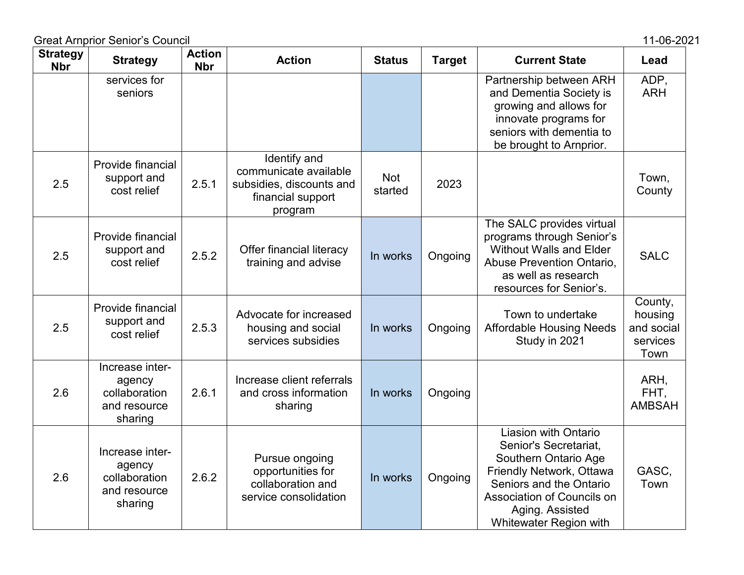|                               | <b>Great Arnprior Senior's Council</b>                                |                             |                                                                                                   |                       |               |                                                                                                                                                                                                                | 11-06-2021                                           |
|-------------------------------|-----------------------------------------------------------------------|-----------------------------|---------------------------------------------------------------------------------------------------|-----------------------|---------------|----------------------------------------------------------------------------------------------------------------------------------------------------------------------------------------------------------------|------------------------------------------------------|
| <b>Strategy</b><br><b>Nbr</b> | <b>Strategy</b>                                                       | <b>Action</b><br><b>Nbr</b> | <b>Action</b>                                                                                     | <b>Status</b>         | <b>Target</b> | <b>Current State</b>                                                                                                                                                                                           | Lead                                                 |
|                               | services for<br>seniors                                               |                             |                                                                                                   |                       |               | Partnership between ARH<br>and Dementia Society is<br>growing and allows for<br>innovate programs for<br>seniors with dementia to<br>be brought to Arnprior.                                                   | ADP,<br><b>ARH</b>                                   |
| 2.5                           | Provide financial<br>support and<br>cost relief                       | 2.5.1                       | Identify and<br>communicate available<br>subsidies, discounts and<br>financial support<br>program | <b>Not</b><br>started | 2023          |                                                                                                                                                                                                                | Town,<br>County                                      |
| 2.5                           | Provide financial<br>support and<br>cost relief                       | 2.5.2                       | Offer financial literacy<br>training and advise                                                   | In works              | Ongoing       | The SALC provides virtual<br>programs through Senior's<br><b>Without Walls and Elder</b><br>Abuse Prevention Ontario,<br>as well as research<br>resources for Senior's.                                        | <b>SALC</b>                                          |
| 2.5                           | Provide financial<br>support and<br>cost relief                       | 2.5.3                       | Advocate for increased<br>housing and social<br>services subsidies                                | In works              | Ongoing       | Town to undertake<br><b>Affordable Housing Needs</b><br>Study in 2021                                                                                                                                          | County,<br>housing<br>and social<br>services<br>Town |
| 2.6                           | Increase inter-<br>agency<br>collaboration<br>and resource<br>sharing | 2.6.1                       | Increase client referrals<br>and cross information<br>sharing                                     | In works              | Ongoing       |                                                                                                                                                                                                                | ARH,<br>FHT,<br><b>AMBSAH</b>                        |
| 2.6                           | Increase inter-<br>agency<br>collaboration<br>and resource<br>sharing | 2.6.2                       | Pursue ongoing<br>opportunities for<br>collaboration and<br>service consolidation                 | In works              | Ongoing       | <b>Liasion with Ontario</b><br>Senior's Secretariat,<br>Southern Ontario Age<br>Friendly Network, Ottawa<br>Seniors and the Ontario<br>Association of Councils on<br>Aging. Assisted<br>Whitewater Region with | GASC,<br>Town                                        |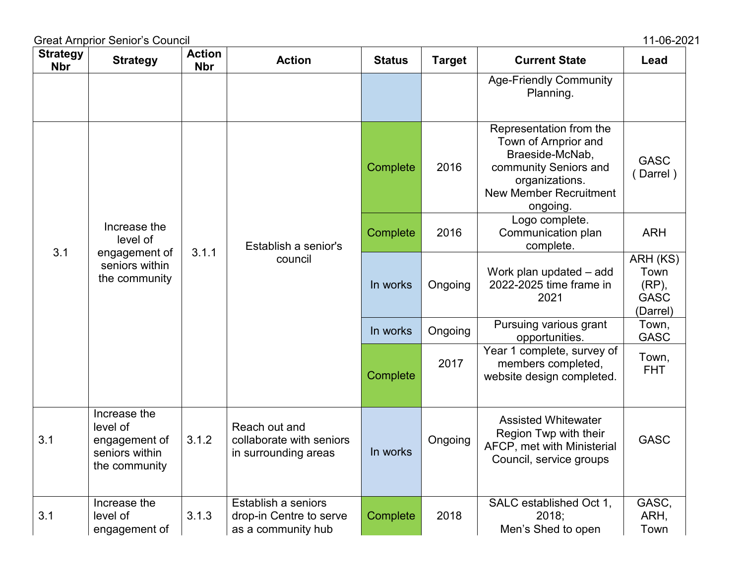| <b>Strategy</b><br><b>Nbr</b> | <b>Strategy</b>                                                              | <b>Action</b><br><b>Nbr</b> | <b>Action</b>                                                        | <b>Status</b> | <b>Target</b> | <b>Current State</b>                                                                                                                                       | Lead                                                 |
|-------------------------------|------------------------------------------------------------------------------|-----------------------------|----------------------------------------------------------------------|---------------|---------------|------------------------------------------------------------------------------------------------------------------------------------------------------------|------------------------------------------------------|
|                               |                                                                              |                             |                                                                      |               |               | <b>Age-Friendly Community</b><br>Planning.                                                                                                                 |                                                      |
|                               |                                                                              |                             |                                                                      | Complete      | 2016          | Representation from the<br>Town of Arnprior and<br>Braeside-McNab,<br>community Seniors and<br>organizations.<br><b>New Member Recruitment</b><br>ongoing. | <b>GASC</b><br>Darrel)                               |
|                               | Increase the<br>level of<br>engagement of                                    | 3.1.1                       | Establish a senior's                                                 | Complete      | 2016          | Logo complete.<br>Communication plan<br>complete.                                                                                                          | <b>ARH</b>                                           |
| 3.1                           | seniors within<br>the community                                              |                             | council                                                              | In works      | Ongoing       | Work plan updated - add<br>2022-2025 time frame in<br>2021                                                                                                 | ARH (KS)<br>Town<br>(RP),<br><b>GASC</b><br>(Darrel) |
|                               |                                                                              |                             |                                                                      | In works      | Ongoing       | Pursuing various grant<br>opportunities.                                                                                                                   | Town,<br><b>GASC</b>                                 |
|                               |                                                                              |                             |                                                                      | Complete      | 2017          | Year 1 complete, survey of<br>members completed,<br>website design completed.                                                                              | Town,<br><b>FHT</b>                                  |
| 3.1                           | Increase the<br>level of<br>engagement of<br>seniors within<br>the community | 3.1.2                       | Reach out and<br>collaborate with seniors<br>in surrounding areas    | In works      | Ongoing       | <b>Assisted Whitewater</b><br>Region Twp with their<br>AFCP, met with Ministerial<br>Council, service groups                                               | <b>GASC</b>                                          |
| 3.1                           | Increase the<br>level of<br>engagement of                                    | 3.1.3                       | Establish a seniors<br>drop-in Centre to serve<br>as a community hub | Complete      | 2018          | SALC established Oct 1,<br>2018;<br>Men's Shed to open                                                                                                     | GASC,<br>ARH,<br>Town                                |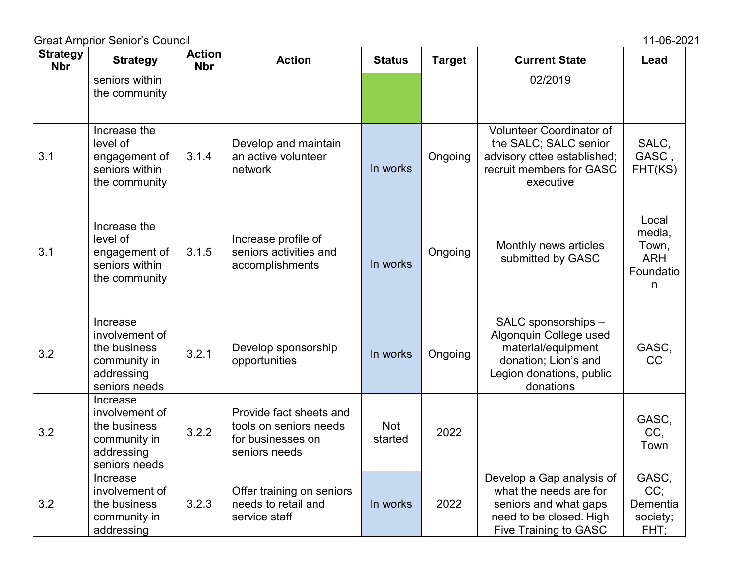| <b>Strategy</b><br><b>Nbr</b> | <b>Strategy</b>                                                                           | <b>Action</b><br><b>Nbr</b> | <b>Action</b>                                                                           | <b>Status</b>         | <b>Target</b> | <b>Current State</b>                                                                                                                    | Lead                                                     |
|-------------------------------|-------------------------------------------------------------------------------------------|-----------------------------|-----------------------------------------------------------------------------------------|-----------------------|---------------|-----------------------------------------------------------------------------------------------------------------------------------------|----------------------------------------------------------|
|                               | seniors within<br>the community                                                           |                             |                                                                                         |                       |               | 02/2019                                                                                                                                 |                                                          |
| 3.1                           | Increase the<br>level of<br>engagement of<br>seniors within<br>the community              | 3.1.4                       | Develop and maintain<br>an active volunteer<br>network                                  | In works              | Ongoing       | <b>Volunteer Coordinator of</b><br>the SALC; SALC senior<br>advisory cttee established;<br>recruit members for GASC<br>executive        | SALC,<br>GASC,<br>FHT(KS)                                |
| 3.1                           | Increase the<br>level of<br>engagement of<br>seniors within<br>the community              | 3.1.5                       | Increase profile of<br>seniors activities and<br>accomplishments                        | In works              | Ongoing       | Monthly news articles<br>submitted by GASC                                                                                              | Local<br>media,<br>Town,<br><b>ARH</b><br>Foundatio<br>n |
| 3.2                           | Increase<br>involvement of<br>the business<br>community in<br>addressing<br>seniors needs | 3.2.1                       | Develop sponsorship<br>opportunities                                                    | In works              | Ongoing       | SALC sponsorships -<br>Algonquin College used<br>material/equipment<br>donation; Lion's and<br>Legion donations, public<br>donations    | GASC,<br><b>CC</b>                                       |
| 3.2                           | Increase<br>involvement of<br>the business<br>community in<br>addressing<br>seniors needs | 3.2.2                       | Provide fact sheets and<br>tools on seniors needs<br>for businesses on<br>seniors needs | <b>Not</b><br>started | 2022          |                                                                                                                                         | GASC,<br>CC,<br>Town                                     |
| 3.2                           | Increase<br>involvement of<br>the business<br>community in<br>addressing                  | 3.2.3                       | Offer training on seniors<br>needs to retail and<br>service staff                       | In works              | 2022          | Develop a Gap analysis of<br>what the needs are for<br>seniors and what gaps<br>need to be closed. High<br><b>Five Training to GASC</b> | GASC,<br>CC;<br>Dementia<br>society;<br>FHT;             |